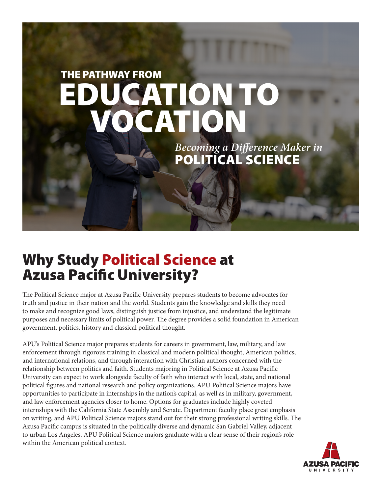# ATION TO THE PATHWAY FROM VOCATION

POLITICAL SCIENCE *Becoming a Difference Maker in* 

## Why Study Political Science at Azusa Pacific University?

The Political Science major at Azusa Pacific University prepares students to become advocates for truth and justice in their nation and the world. Students gain the knowledge and skills they need to make and recognize good laws, distinguish justice from injustice, and understand the legitimate purposes and necessary limits of political power. The degree provides a solid foundation in American government, politics, history and classical political thought.

APU's Political Science major prepares students for careers in government, law, military, and law enforcement through rigorous training in classical and modern political thought, American politics, and international relations, and through interaction with Christian authors concerned with the relationship between politics and faith. Students majoring in Political Science at Azusa Pacific University can expect to work alongside faculty of faith who interact with local, state, and national political figures and national research and policy organizations. APU Political Science majors have opportunities to participate in internships in the nation's capital, as well as in military, government, and law enforcement agencies closer to home. Options for graduates include highly coveted internships with the California State Assembly and Senate. Department faculty place great emphasis on writing, and APU Political Science majors stand out for their strong professional writing skills. The Azusa Pacific campus is situated in the politically diverse and dynamic San Gabriel Valley, adjacent to urban Los Angeles. APU Political Science majors graduate with a clear sense of their region's role within the American political context.

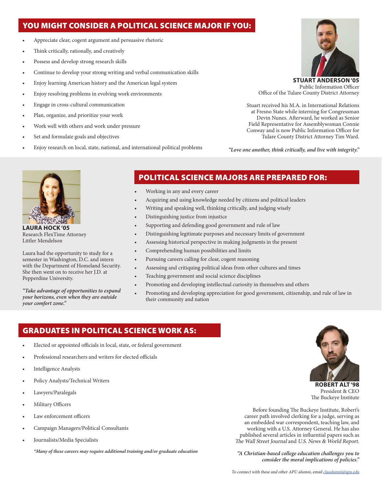## YOU MIGHT CONSIDER A POLITICAL SCIENCE MAJOR IF YOU:

- Appreciate clear, cogent argument and persuasive rhetoric
- Think critically, rationally, and creatively
- Possess and develop strong research skills
- Continue to develop your strong writing and verbal communication skills
- Enjoy learning American history and the American legal system
- Enjoy resolving problems in evolving work environments
- Engage in cross-cultural communication
- Plan, organize, and prioritize your work
- Work well with others and work under pressure
- Set and formulate goals and objectives
- Enjoy research on local, state, national, and international political problems



**STUART ANDERSON '05** Public Information Officer Office of the Tulare County District Attorney

Stuart received his M.A. in International Relations at Fresno State while interning for Congressman Devin Nunes. Afterward, he worked as Senior Field Representative for Assemblywoman Connie Conway and is now Public Information Officer for Tulare County District Attorney Tim Ward.

*"Love one another, think critically, and live with integrity."*



**LAURA HOCK '05** Research FlexTime Attorney Littler Mendelson

Laura had the opportunity to study for a semester in Washington, D.C. and intern with the Department of Homeland Security. She then went on to receive her J.D. at Pepperdine University.

*"Take advantage of opportunities to expand your horizons, even when they are outside your comfort zone."*

## POLITICAL SCIENCE MAJORS ARE PREPARED FOR:

- Working in any and every career
- Acquiring and using knowledge needed by citizens and political leaders
- Writing and speaking well, thinking critically, and judging wisely
- Distinguishing justice from injustice
- Supporting and defending good government and rule of law
- Distinguishing legitimate purposes and necessary limits of government
- Assessing historical perspective in making judgments in the present
- Comprehending human possibilities and limits
- Pursuing careers calling for clear, cogent reasoning
- Assessing and critiquing political ideas from other cultures and times
- Teaching government and social science disciplines
- Promoting and developing intellectual curiosity in themselves and others
- Promoting and developing appreciation for good government, citizenship, and rule of law in their community and nation

## GRADUATES IN POLITICAL SCIENCE WORK AS:

- Elected or appointed officials in local, state, or federal government
- Professional researchers and writers for elected officials
- Intelligence Analysts
- Policy Analysts/Technical Writers
- Lawyers/Paralegals
- Military Officers
- Law enforcement officers
- Campaign Managers/Political Consultants
- Journalists/Media Specialists

*\*Many of these careers may require additional training and/or graduate education*



**ROBERT ALT '98** President & CEO The Buckeye Institute

Before founding The Buckeye Institute, Robert's career path involved clerking for a judge, serving as an embedded war correspondent, teaching law, and working with a U.S. Attorney General. He has also published several articles in influential papers such as The Wall Street Journal and U.S. News & World Report.

*"A Christian-based college education challenges you to consider the moral implications of policies."*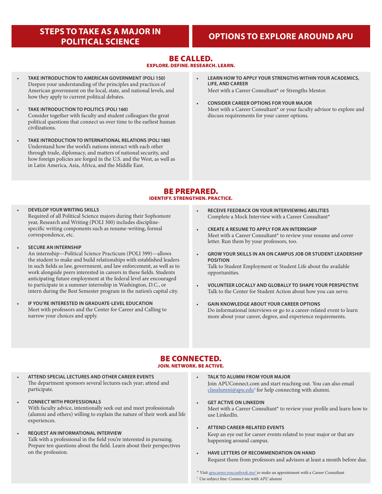## **STEPS TO TAKE AS A MAJOR IN**

## **POLITICAL SCIENCE OPTIONS TO EXPLORE AROUND APU**

## BE CALLED. EXPLORE. DEFINE. RESEARCH. LEARN.

- **TAKE INTRODUCTION TO AMERICAN GOVERNMENT (POLI 150)** Deepen your understanding of the principles and practices of American government on the local, state, and national levels, and how they apply to current political debates.
- **TAKE INTRODUCTION TO POLITICS (POLI 160)** Consider together with faculty and student colleagues the great political questions that connect us over time to the earliest human civilizations.
- **TAKE INTRODUCTION TO INTERNATIONAL RELATIONS (POLI 180)** Understand how the world's nations interact with each other through trade, diplomacy, and matters of national security, and how foreign policies are forged in the U.S. and the West, as well as in Latin America, Asia, Africa, and the Middle East.
- **LEARN HOW TO APPLY YOUR STRENGTHS WITHIN YOUR ACADEMICS, LIFE, AND CAREER** Meet with a Career Consultant\* or Strengths Mentor.
- **CONSIDER CAREER OPTIONS FOR YOUR MAJOR** Meet with a Career Consultant\* or your faculty advisor to explore and discuss requirements for your career options.

## BE PREPARED. IDENTIFY. STRENGTHEN. PRACTICE.

#### • **DEVELOP YOUR WRITING SKILLS** Required of all Political Science majors during their Sophomore year, Research and Writing (POLI 300) includes disciplinespecific writing components such as resume-writing, formal correspondence, etc.

• **SECURE AN INTERNSHIP**

An internship—Political Science Practicum (POLI 399)—allows the student to make and build relationships with established leaders in such fields as law, government, and law enforcement, as well as to work alongside peers interested in careers in these fields. Students anticipating future employment at the federal level are encouraged to participate in a summer internship in Washington, D.C., or intern during the Best Semester program in the nation's capital city.

**IF YOU'RE INTERESTED IN GRADUATE-LEVEL EDUCATION** Meet with professors and the Center for Career and Calling to narrow your choices and apply.

- **RECEIVE FEEDBACK ON YOUR INTERVIEWING ABILITIES** Complete a Mock Interview with a Career Consultant\*
- **CREATE A RESUME TO APPLY FOR AN INTERNSHIP** Meet with a Career Consultant\* to review your resume and cover letter. Run them by your professors, too.
- **GROW YOUR SKILLS IN AN ON CAMPUS JOB OR STUDENT LEADERSHIP POSITION** Talk to Student Employment or Student Life about the available opportunities.
- **VOLUNTEER LOCALLY AND GLOBALLY TO SHAPE YOUR PERSPECTIVE** Talk to the Center for Student Action about how you can serve.
- **GAIN KNOWLEDGE ABOUT YOUR CAREER OPTIONS** Do informational interviews or go to a career-related event to learn more about your career, degree, and experience requirements.

### BE CONNECTED. JOIN. NETWORK. BE ACTIVE.

- **ATTEND SPECIAL LECTURES AND OTHER CAREER EVENTS** The department sponsors several lectures each year; attend and participate.
- **CONNECT WITH PROFESSIONALS** With faculty advice, intentionally seek out and meet professionals (alumni and others) willing to explain the nature of their work and life experiences.
- **REQUEST AN INFORMATIONAL INTERVIEW** Talk with a professional in the field you're interested in pursuing. Prepare ten questions about the field. Learn about their perspectives on the profession.
- **TALK TO ALUMNI FROM YOUR MAJOR** Join APUConnect.com and start reaching out. You can also email [clasalumni@apu.edu](mailto:clasoffice%40apu.edu?subject=Connect%20me%20with%20APU%20alumni)<sup>+</sup> for help connecting with alumni.
- **GET ACTIVE ON LINKEDIN** Meet with a Career Consultant\* to review your profile and learn how to use LinkedIn.
- **ATTEND CAREER-RELATED EVENTS** Keep an eye out for career events related to your major or that are happening around campus.
- **HAVE LETTERS OF RECOMMENDATION ON HAND** Request them from professors and advisors at least a month before due.

\* Visit [apucareer.youcanbook.me/ t](http://apucareer.youcanbook.me/)o make an appointment with a Career Consultant <sup>+</sup> Use subject line: Connect me with APU alumni